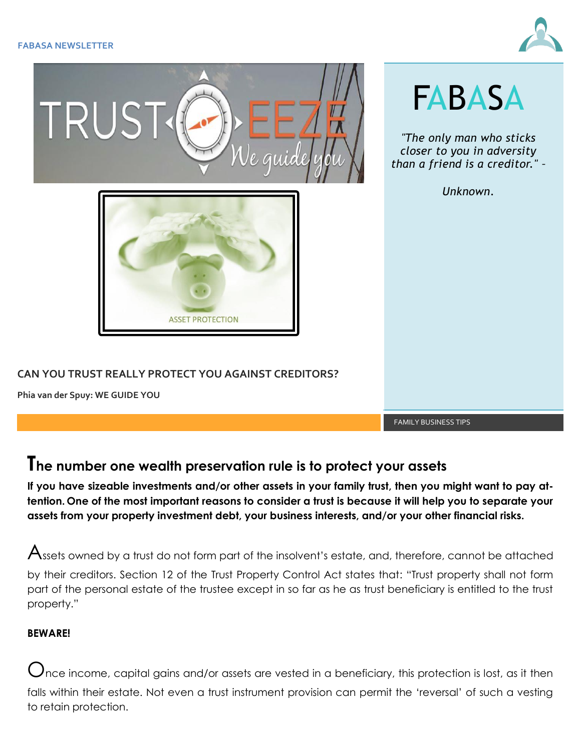



## **The number one wealth preservation rule is to protect your assets**

**If you have sizeable investments and/or other assets in your family trust, then you might want to pay attention. One of the most important reasons to consider a trust is because it will help you to separate your assets from your property investment debt, your business interests, and/or your other financial risks.**

 $\bigwedge$ ssets owned by a trust do not form part of the insolvent's estate, and, therefore, cannot be attached by their creditors. Section 12 of the Trust Property Control Act states that: "Trust property shall not form part of the personal estate of the trustee except in so far as he as trust beneficiary is entitled to the trust property."

## **BEWARE!**

 $\bigcup$ nce income, capital gains and/or assets are vested in a beneficiary, this protection is lost, as it then falls within their estate. Not even a trust instrument provision can permit the 'reversal' of such a vesting to retain protection.